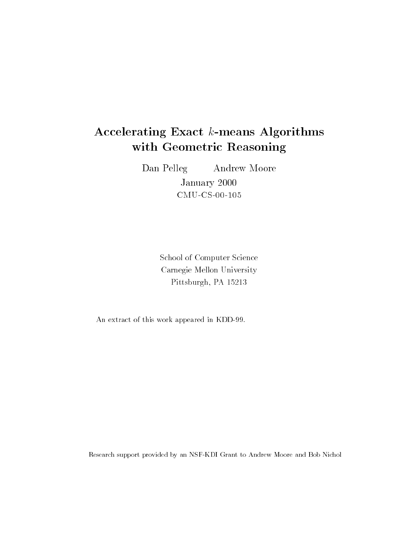# Accelerating Exact k-means Algorithms with Geometric Reasoning

Dan Pelleg Andrew Moore

January 2000 CMU-CS-00-105

School of Computer Science Carnegie Mellon University Pittsburgh, PA 15213

An extract of this work appeared in KDD-99.

Research support provided by an NSF-KDI Grant to Andrew Moore and Bob Nichol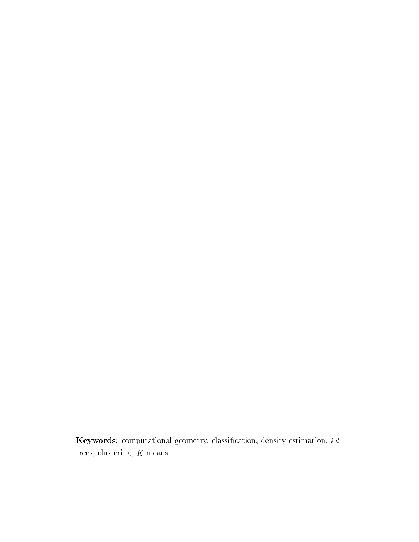Keywords: computational geometry, classication, density estimation, kdtrees, clustering, K-means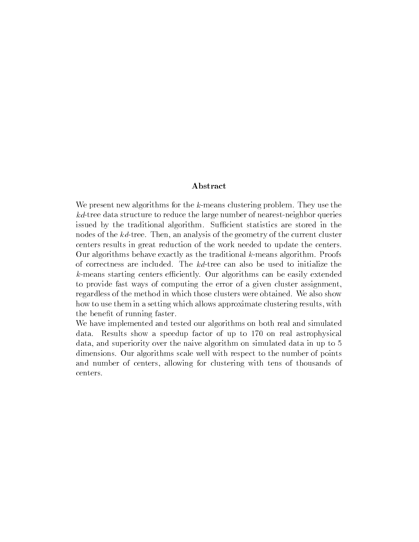### Abstract

We present new algorithms for the k-means clustering problem. They use the kd-tree data structure to reduce the large number of nearest-neighbor queries issued by the traditional algorithm. Sufficient statistics are stored in the nodes of the kd-tree. Then, an analysis of the geometry of the current cluster centers results in great reduction of the work needed to update the centers. Our algorithms behave exactly as the traditional k-means algorithm. Proofs of correctness are included. The kd-tree can also be used to initialize the  $k$ -means starting centers efficiently. Our algorithms can be easily extended to provide fast ways of computing the error of a given cluster assignment, regardless of the method in which those clusters were obtained. We also show how to use them in a setting which allows approximate clustering results, with the benefit of running faster.

We have implemented and tested our algorithms on both real and simulated data. Results show a speedup factor of up to 170 on real astrophysical data, and superiority over the naive algorithm on simulated data in up to 5 dimensions. Our algorithms scale well with respect to the number of points and number of centers, allowing for clustering with tens of thousands of centers.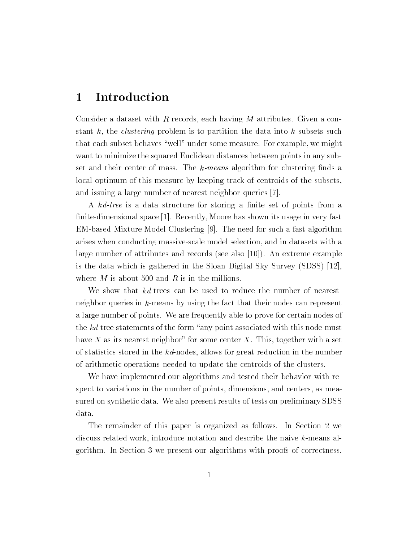## 1 Introduction

Consider a dataset with <sup>R</sup> records, each having <sup>M</sup> attributes. Given a constant k, the *clustering* problem is to partition the data into k subsets such that each subset behaves \well" under some measure. For example, we might want to minimize the squared Euclidean distances between points in any subset and their center of mass. The  $k$ -means algorithm for clustering finds a local optimum of this measure by keeping track of centroids of the subsets, and issuing a large number of nearest-neighbor queries [7].

A kd-tree is a data structure for storing a finite set of points from a nite-dimensional space [1]. Recently, Moore has shown its usage in very fast EM-based Mixture Model Clustering [9]. The need for such a fast algorithm arises when conducting massive-scale model selection, and in datasets with a large number of attributes and records (see also [10]). An extreme example is the data which is gathered in the Sloan Digital Sky Survey (SDSS) [12], where  $M$  is about 500 and  $R$  is in the millions.

We show that kd-trees can be used to reduce the number of nearestneighbor queries in k-means by using the fact that their nodes can represent a large number of points. We are frequently able to prove for certain nodes of the  $kd$ -tree statements of the form "any point associated with this node must have X as its nearest neighbor" for some center X. This, together with a set of statistics stored in the kd-nodes, allows for great reduction in the number of arithmetic operations needed to update the centroids of the clusters.

We have implemented our algorithms and tested their behavior with respect to variations in the number of points, dimensions, and centers, as measured on synthetic data. We also present results of tests on preliminary SDSS data.

The remainder of this paper is organized as follows. In Section 2 we discuss related work, introduce notation and describe the naive k-means algorithm. In Section 3 we present our algorithms with proofs of correctness.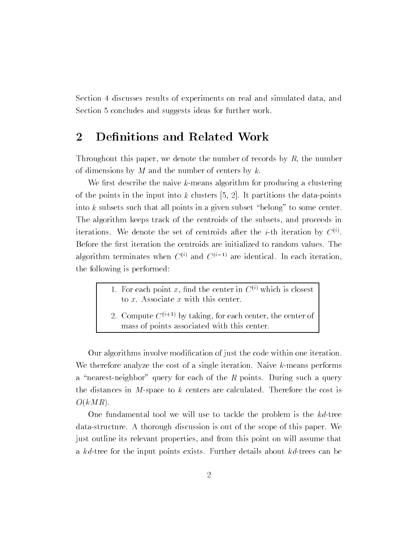Section 4 discusses results of experiments on real and simulated data, and Section 5 concludes and suggests ideas for further work.

## 2 Definitions and Related Work

Throughout this paper, we denote the number of records by  $R$ , the number of dimensions by  $M$  and the number of centers by  $k$ .

We first describe the naive  $k$ -means algorithm for producing a clustering of the points in the input into  $k$  clusters  $[5, 2]$ . It partitions the data-points into k subsets such that all points in a given subset "belong" to some center. The algorithm keeps track of the centroids of the subsets, and proceeds in iterations. We denote the set of centroids after the  $i$ -th iteration by  $\mathbb{C}^{n}$ . Before the first iteration the centroids are initialized to random values. The algorithm terminates when  $C^{(i)}$  and  $C^{(i-1)}$  are identical. In each iteration, the following is performed:

- 1. For each point x, find the center in  $C^{(i)}$  which is closest to  $x$ . Associate  $x$  with this center.
- 2. Compute  $C^{(i+1)}$  by taking, for each center, the center of mass of points associated with this center.

Our algorithms involve modication of just the code within one iteration. We therefore analyze the cost of a single iteration. Naive  $k$ -means performs a "nearest-neighbor" query for each of the R points. During such a query the distances in  $M$ -space to k centers are calculated. Therefore the cost is  $O(kMR)$ .

One fundamental tool we will use to tackle the problem is the  $kd$ -tree data-structure. A thorough discussion is out of the scope of this paper. We just outline its relevant properties, and from this point on will assume that a kd-tree for the input points exists. Further details about kd-trees can be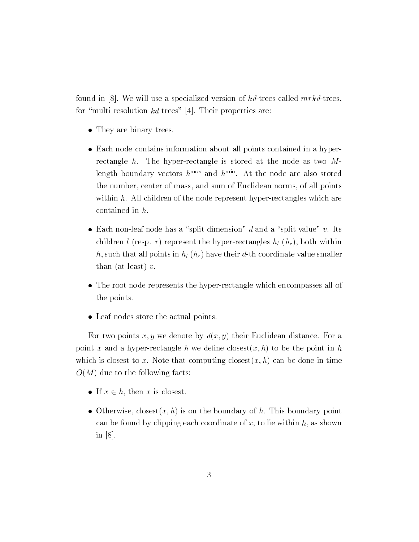found in [8]. We will use a specialized version of  $kd$ -trees called mrkd-trees, for "multi-resolution  $kd$ -trees" [4]. Their properties are:

- They are binary trees.
- Each node contains information about all points contained in a hyperrectangle h. The hyper-rectangle is stored at the node as two  $M$ length boundary vectors  $h^{mm}$  and  $h^{mm}$ . At the node are also stored the number, center of mass, and sum of Euclidean norms, of all points within  $h$ . All children of the node represent hyper-rectangles which are contained in h.
- Each non-leaf node has a "split dimension" d and a "split value" v. Its children l (resp. r) represent the hyper-rectangles  $h_l$   $(h_r)$ , both within h, such that all points in  $h_l$  ( $h_r$ ) have their d-th coordinate value smaller than (at least)  $v$ .
- The root node represents the hyper-rectangle which encompasses all of the points.
- Leaf nodes store the actual points.

For two points x, y we denote by  $d(x, y)$  their Euclidean distance. For a point x and a hyper-rectangle h we define closest $(x, h)$  to be the point in h which is closest to x. Note that computing closest $(x, h)$  can be done in time  $O(M)$  due to the following facts:

- If  $x \in h$ , then x is closest.
- Otherwise, closest $(x, h)$  is on the boundary of h. This boundary point can be found by clipping each coordinate of x, to lie within h, as shown in  $|8|$ .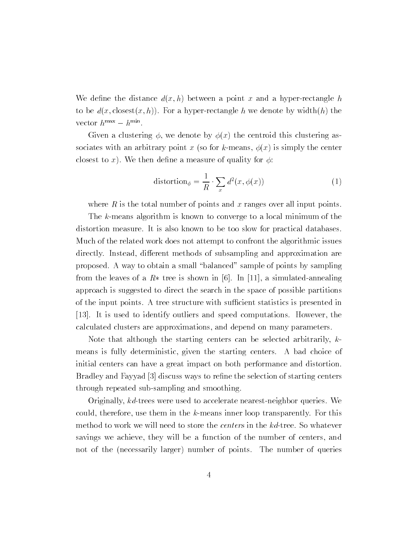We define the distance  $d(x, h)$  between a point x and a hyper-rectangle h to be  $d(x, \text{closest}(x, h))$ . For a hyper-rectangle h we denote by width $(h)$  the vector  $n^{mm} = n^{mm}$ .

Given a clustering  $\phi$ , we denote by  $\phi(x)$  the centroid this clustering associates with an arbitrary point x (so for k-means,  $\phi(x)$  is simply the center closest to x). We then define a measure of quality for  $\phi$ :

$$
distortion_{\phi} = \frac{1}{R} \cdot \sum_{x} d^{2}(x, \phi(x))
$$
 (1)

where  $R$  is the total number of points and x ranges over all input points.

The k-means algorithm is known to converge to a local minimum of the distortion measure. It is also known to be too slow for practical databases. Much of the related work does not attempt to confront the algorithmic issues directly. Instead, different methods of subsampling and approximation are proposed. A way to obtain a small \balanced" sample of points by sampling from the leaves of a  $R*$  tree is shown in [6]. In [11], a simulated-annealing approach is suggested to direct the search in the space of possible partitions of the input points. A tree structure with sufficient statistics is presented in [13]. It is used to identify outliers and speed computations. However, the calculated clusters are approximations, and depend on many parameters.

Note that although the starting centers can be selected arbitrarily,  $k$ means is fully deterministic, given the starting centers. A bad choice of initial centers can have a great impact on both performance and distortion. Bradley and Fayyad [3] discuss ways to refine the selection of starting centers through repeated sub-sampling and smoothing.

Originally, kd-trees were used to accelerate nearest-neighbor queries. We could, therefore, use them in the k-means inner loop transparently. For this method to work we will need to store the centers in the kd-tree. So whatever savings we achieve, they will be a function of the number of centers, and not of the (necessarily larger) number of points. The number of queries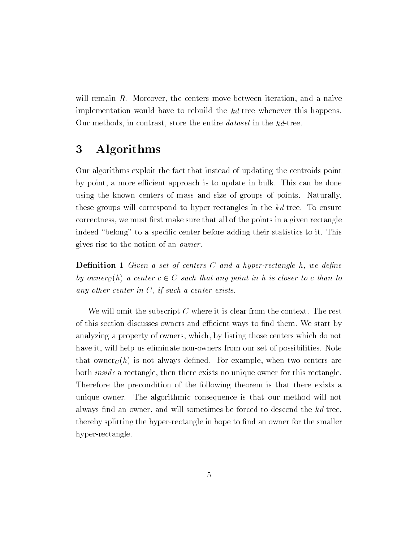will remain R. Moreover, the centers move between iteration, and a naive implementation would have to rebuild the kd-tree whenever this happens. Our methods, in contrast, store the entire dataset in the kd-tree.

## 3 Algorithms

Our algorithms exploit the fact that instead of updating the centroids point by point, a more efficient approach is to update in bulk. This can be done using the known centers of mass and size of groups of points. Naturally, these groups will correspond to hyper-rectangles in the kd-tree. To ensure correctness, we must first make sure that all of the points in a given rectangle indeed "belong" to a specific center before adding their statistics to it. This gives rise to the notion of an owner.

**Definition 1** Given a set of centers C and a hyper-rectangle  $h$ , we define by owner<sub>C</sub>(h) a center  $c \in C$  such that any point in h is closer to c than to any other center in <sup>C</sup>, if such a center exists.

We will omit the subscript  $C$  where it is clear from the context. The rest of this section discusses owners and efficient ways to find them. We start by analyzing a property of owners, which, by listing those centers which do not have it, will help us eliminate non-owners from our set of possibilities. Note that owner<sub>C</sub>(h) is not always defined. For example, when two centers are both inside a rectangle, then there exists no unique owner for this rectangle. Therefore the precondition of the following theorem is that there exists a unique owner. The algorithmic consequence is that our method will not always find an owner, and will sometimes be forced to descend the  $kd$ -tree, thereby splitting the hyper-rectangle in hope to find an owner for the smaller hyper-rectangle.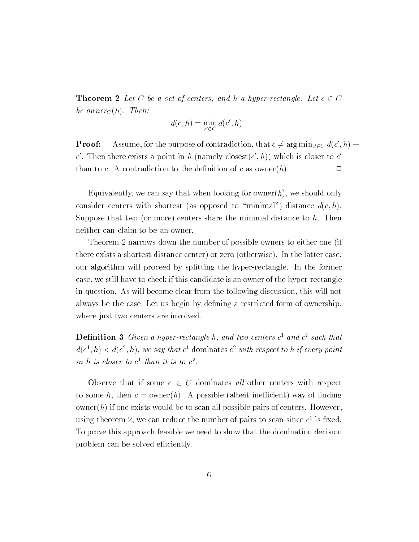**Theorem 2** Let C be a set of centers, and h a hyper-rectangle. Let  $c \in C$ be owner $_C(h)$ . Then:

$$
d(c, h) = \min_{c' \in C} d(c', h) .
$$

**Proof:** Assume, for the purpose of contradiction, that  $c \neq \arg \min_{c' \in C} a(c', n) =$ c. Then there exists a point in h (namely closest(c, h)) which is closer to c than to c. A contradiction to the definition of c as owner(h).

Equivalently, we can say that when looking for owner $(h)$ , we should only consider centers with shortest (as opposed to "minimal") distance  $d(c, h)$ . Suppose that two (or more) centers share the minimal distance to  $h$ . Then neither can claim to be an owner.

Theorem 2 narrows down the number of possible owners to either one (if there exists a shortest distance center) or zero (otherwise). In the latter case, our algorithm will proceed by splitting the hyper-rectangle. In the former case, we still have to check if this candidate is an owner of the hyper-rectangle in question. As will become clear from the following discussion, this will not always be the case. Let us begin by defining a restricted form of ownership, where just two centers are involved.

**Definition 5** Given a hyper-rectangle n, and two centers  $c^2$  and  $c^2$  such that  $a(c^-, n) < a(c^-, n)$ , we say that c dominates c with respect to h if every point in  $n$  is closer to  $c^-$  than it is to  $c^-$ .

Observe that if some  $c \in C$  dominates all other centers with respect to some h, then  $c = \text{owner}(h)$ . A possible (albeit inefficient) way of finding  $\omega$  owner(h) if one exists would be to scan all possible pairs of centers. However, using theorem 2, we can requee the number of pairs to scan since  $c^{\perp}$  is fixed. To prove this approach feasible we need to show that the domination decision problem can be solved efficiently.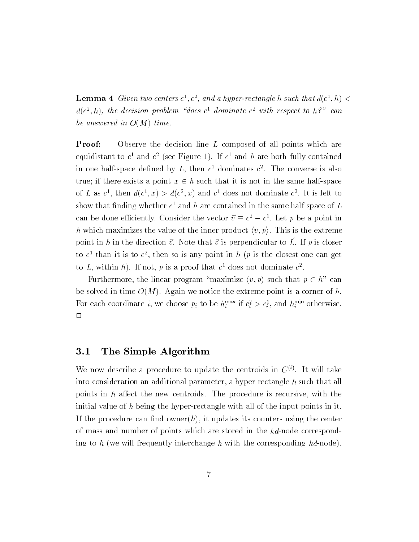**Lemma 4** Given two centers  $c^-, c^-,$  and a hyper-rectangle h such that  $a(c^-, n) <$ a(c,n), the aectston problem abes c aominate c with respect to h? can be answered in O(M) time.

Proof: Observe the decision line L composed of all points which are equidistant to  $c^-$  and  $c^-$  (see Figure 1). If  $c^-$  and  $n$  are both fully contained in one hair-space defined by  $L$ , then  $c^{\perp}$  dominates  $c^{\perp}$ . The converse is also true; if there exists a point  $x \in h$  such that it is not in the same half-space of L as  $c^*$ , then  $a(c^*, x) > a(c^*, x)$  and  $c^*$  does not dominate  $c^*$ . It is left to show that infuring whether  $c^{\perp}$  and  $n$  are contained in the same half-space of  $L$ can be done emclemby. Consider the vector  $v = c^- - c^-$ . Let p be a point in h which maximizes the value of the inner product  $\langle v, p \rangle$ . This is the extreme point in h in the direction  $\vec{v}$ . Note that  $\vec{v}$  is perpendicular to  $\vec{L}$ . If p is closer to  $c$  than it is to  $c$ , then so is any point in  $n+p$  is the closest one can get to L, within n). If not,  $p$  is a proof that c does not dominate  $c^2$ .

Furthermore, the linear program "maximize  $\langle v, p \rangle$  such that  $p \in h$ " can be solved in time  $O(M)$ . Again we notice the extreme point is a corner of h. For each coordinate i, we choose  $p_i$  to be  $n_i^{\cdots}$  if  $c_i > c_i$ , and  $n_i^{\cdots}$  otherwise.  $\Box$ 

### 3.1 The Simple Algorithm

We now describe a procedure to update the centroids in  $\mathbb{C}^{ij}$ . It will take into consideration an additional parameter, a hyper-rectangle <sup>h</sup> such that all points in  $h$  affect the new centroids. The procedure is recursive, with the initial value of h being the hyper-rectangle with all of the input points in it. If the procedure can find owner(h), it updates its counters using the center of mass and number of points which are stored in the kd-node corresponding to h (we will frequently interchange h with the corresponding  $kd$ -node).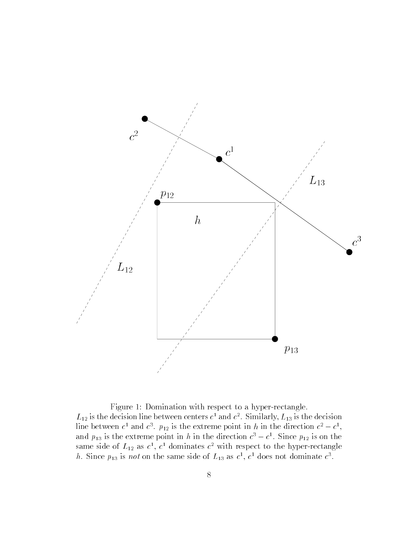

Figure 1: Domination with respect to a hyper-rectangle.  $L_{12}$  is the decision line between centers  $c^{\perp}$  and  $c^{\perp}$ . Similarly,  $L_{13}$  is the decision line between  $c^*$  and  $c^*$ .  $p_{12}$  is the extreme point in h in the direction  $c^* - c^*$ , and  $p_{13}$  is the extreme point in h in the direction  $c^--c^-$ . Since  $p_{12}$  is on the same side of  $L_{12}$  as  $c^2$ ,  $c^2$  dominates  $c^2$  with respect to the hyper-rectangle *n*. Since  $p_{13}$  is not on the same side of  $L_{13}$  as  $c^2$ ,  $c^2$  does not dominate  $c^2$ .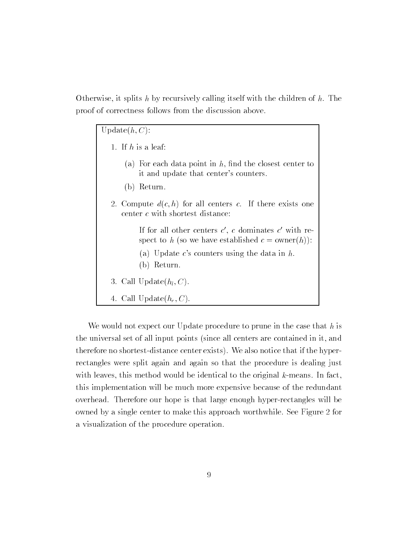Otherwise, it splits h by recursively calling itself with the children of  $h$ . The proof of correctness follows from the discussion above.

Update $(h, C)$ :

1. If <sup>h</sup> is a leaf: (a) For each data point in  $h$ , find the closest center to it and update that center's counters. (b) Return. 2. Compute  $d(c, h)$  for all centers c. If there exists one center <sup>c</sup> with shortest distance: If for all other centers  $c$  ,  $c$  dominates  $c$  with respect to h (so we have established  $c = \text{owner}(h)$ ): (a) Update c's counters using the data in  $h$ . (b) Return. 3. Call Update $(h_l, C)$ . 4. Call Update $(h_r, C)$ .

We would not expect our Update procedure to prune in the case that  $h$  is the universal set of all input points (since all centers are contained in it, and therefore no shortest-distance center exists). We also notice that if the hyperrectangles were split again and again so that the procedure is dealing just with leaves, this method would be identical to the original k-means. In fact, this implementation will be much more expensive because of the redundant overhead. Therefore our hope is that large enough hyper-rectangles will be owned by a single center to make this approach worthwhile. See Figure 2 for a visualization of the procedure operation.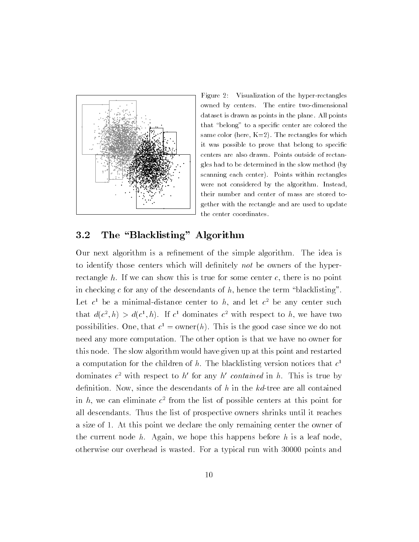

Figure 2: Visualization of the hyper-rectangles owned by centers. The entire two-dimensional dataset is drawn as points in the plane. All points that "belong" to a specific center are colored the same color (here,  $K=2$ ). The rectangles for which it was possible to prove that belong to specific centers are also drawn. Points outside of rectangles had to be determined in the slow method (by scanning each center). Points within rectangles were not considered by the algorithm. Instead, their number and center of mass are stored together with the rectangle and are used to update the center coordinates.

#### $3.2$ The "Blacklisting" Algorithm

Our next algorithm is a refinement of the simple algorithm. The idea is to identify those centers which will definitely not be owners of the hyperrectangle  $h$ . If we can show this is true for some center  $c$ , there is no point in checking  $c$  for any of the descendants of  $h$ , hence the term "blacklisting". Let  $c$  be a minimal-distance center to  $n$ , and let  $c$  be any center such that  $a(c^*, n) > a(c^*, n)$ . If c dominates c with respect to h, we have two possibilities. One, that  $c^2 = 0$  where  $n$ . This is the good case since we do not need any more computation. The other option is that we have no owner for this node. The slow algorithm would have given up at this point and restarted a computation for the children of h. The blacklisting version notices that  $c^$ dominates  $c^-$  with respect to h for any h contained in h. This is true by definition. Now, since the descendants of  $h$  in the  $kd$ -tree are all contained in  $n$ , we can eliminate  $c$  from the list of possible centers at this point for all descendants. Thus the list of prospective owners shrinks until it reaches a size of 1. At this point we declare the only remaining center the owner of the current node  $h$ . Again, we hope this happens before  $h$  is a leaf node, otherwise our overhead is wasted. For a typical run with 30000 points and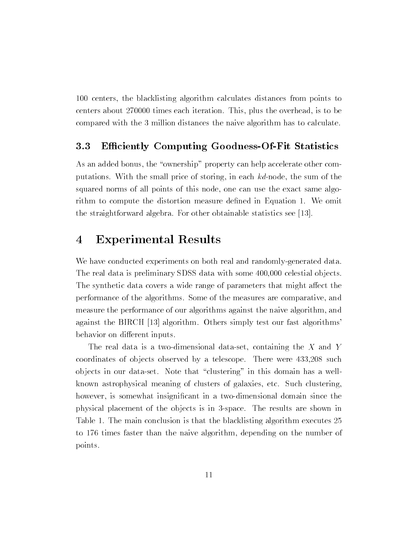100 centers, the blacklisting algorithm calculates distances from points to centers about 270000 times each iteration. This, plus the overhead, is to be compared with the 3 million distances the naive algorithm has to calculate.

### 3.3 Efficiently Computing Goodness-Of-Fit Statistics

As an added bonus, the "ownership" property can help accelerate other computations. With the small price of storing, in each kd-node, the sum of the squared norms of all points of this node, one can use the exact same algorithm to compute the distortion measure defined in Equation 1. We omit the straightforward algebra. For other obtainable statistics see [13].

#### **Experimental Results**  $\overline{4}$

We have conducted experiments on both real and randomly-generated data. The real data is preliminary SDSS data with some 400,000 celestial objects. The synthetic data covers a wide range of parameters that might affect the performance of the algorithms. Some of the measures are comparative, and measure the performance of our algorithms against the naive algorithm, and against the BIRCH [13] algorithm. Others simply test our fast algorithms' behavior on different inputs.

The real data is a two-dimensional data-set, containing the  $X$  and  $Y$ coordinates of objects observed by a telescope. There were  $433,208$  such ob jects in our data-set. Note that \clustering" in this domain has a wellknown astrophysical meaning of clusters of galaxies, etc. Such clustering, however, is somewhat insignicant in a two-dimensional domain since the physical placement of the ob jects is in 3-space. The results are shown in Table 1. The main conclusion is that the blacklisting algorithm executes 25 to 176 times faster than the naive algorithm, depending on the number of points.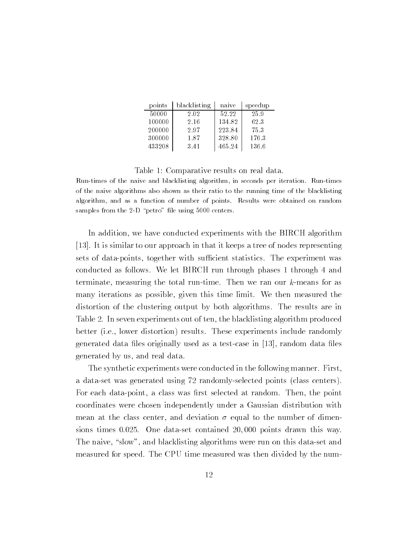| points | blacklisting | naive  | speedup |
|--------|--------------|--------|---------|
| 50000  | 2.02         | 52.22  | 25.9    |
| 100000 | 2.16         | 134.82 | 62.3    |
| 200000 | 2.97         | 223.84 | 75.3    |
| 300000 | 1.87         | 328.80 | 176.3   |
| 433208 | 3.41         | 465.24 | 136.6   |

#### Table 1: Comparative results on real data.

Run-times of the naive and blacklisting algorithm, in seconds per iteration. Run-times of the naive algorithms also shown as their ratio to the running time of the blacklisting algorithm, and as a function of number of points. Results were obtained on random samples from the 2-D "petro" file using  $5000$  centers.

In addition, we have conducted experiments with the BIRCH algorithm [13]. It is similar to our approach in that it keeps a tree of nodes representing sets of data-points, together with sufficient statistics. The experiment was conducted as follows. We let BIRCH run through phases 1 through 4 and terminate, measuring the total run-time. Then we ran our k-means for as many iterations as possible, given this time limit. We then measured the distortion of the clustering output by both algorithms. The results are in Table 2. In seven experiments out of ten, the blacklisting algorithm produced better (i.e., lower distortion) results. These experiments include randomly generated data files originally used as a test-case in  $[13]$ , random data files generated by us, and real data.

The synthetic experiments were conducted in the following manner. First, a data-set was generated using 72 randomly-selected points (class centers). For each data-point, a class was first selected at random. Then, the point coordinates were chosen independently under a Gaussian distribution with mean at the class center, and deviation  $\sigma$  equal to the number of dimensions times 0:025. One data-set contained 20; 000 points drawn this way. The naive, "slow", and blacklisting algorithms were run on this data-set and measured for speed. The CPU time measured was then divided by the num-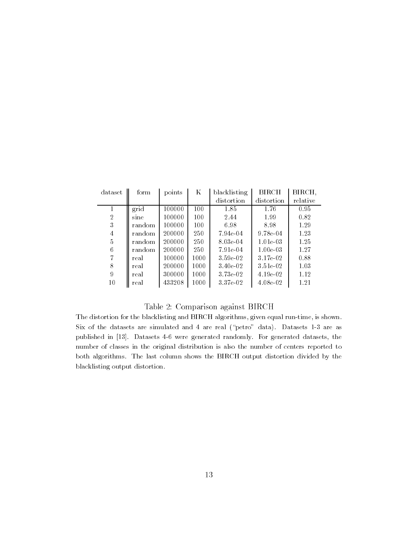| dataset        | form   | points | Κ    | blacklisting | <b>BIRCH</b> | BIRCH,   |
|----------------|--------|--------|------|--------------|--------------|----------|
|                |        |        |      | distortion   | distortion   | relative |
|                | grid   | 100000 | 100  | 1.85         | 1.76         | 0.95     |
| $\overline{2}$ | sine   | 100000 | 100  | 2.44         | 1.99         | 0.82     |
| 3              | random | 100000 | 100  | 6.98         | 8.98         | 1.29     |
| 4              | random | 200000 | 250  | 7.94e-04     | $9.78e-04$   | 1.23     |
| 5              | random | 200000 | 250  | 8.03e-04     | $1.01e-03$   | 1.25     |
| 6              | random | 200000 | 250  | 7.91e-04     | $1.00e-03$   | 1.27     |
|                | real   | 100000 | 1000 | $3.59e-02$   | 3.17e-02     | 0.88     |
| 8              | real   | 200000 | 1000 | $3.40e-0.2$  | $3.51e-02$   | 1.03     |
| 9              | real   | 300000 | 1000 | 3.73e-02     | 4.19e-02     | 1.12     |
| 10             | real   | 433208 | 1000 | 3.37e-02     | $4.08e-02$   | 1.21     |

### Table 2: Comparison against BIRCH

The distortion for the blacklisting and BIRCH algorithms, given equal run-time, is shown. Six of the datasets are simulated and 4 are real ("petro" data). Datasets 1-3 are as published in [13]. Datasets 4-6 were generated randomly. For generated datasets, the number of classes in the original distribution is also the number of centers reported to both algorithms. The last column shows the BIRCH output distortion divided by the blacklisting output distortion.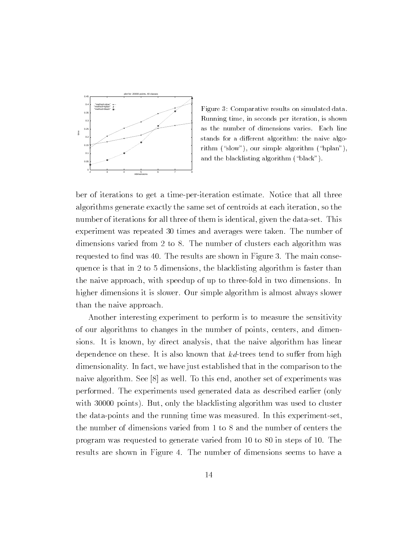

Figure 3: Comparative results on simulated data. Running time, in seconds per iteration, is shown as the number of dimensions varies. Each line stands for a different algorithm: the naive algorithm  $(\text{``slow''})$ , our simple algorithm  $(\text{``hplan''})$ , and the blacklisting algorithm ("black").

ber of iterations to get a time-per-iteration estimate. Notice that all three algorithms generate exactly the same set of centroids at each iteration, so the number of iterations for all three of them is identical, given the data-set. This experiment was repeated 30 times and averages were taken. The number of dimensions varied from 2 to 8. The number of clusters each algorithm was requested to find was 40. The results are shown in Figure 3. The main consequence is that in 2 to 5 dimensions, the blacklisting algorithm is faster than the naive approach, with speedup of up to three-fold in two dimensions. In higher dimensions it is slower. Our simple algorithm is almost always slower than the naive approach.

Another interesting experiment to perform is to measure the sensitivity of our algorithms to changes in the number of points, centers, and dimensions. It is known, by direct analysis, that the naive algorithm has linear dependence on these. It is also known that  $kd$ -trees tend to suffer from high dimensionality. In fact, we have just established that in the comparison to the naive algorithm. See [8] as well. To this end, another set of experiments was performed. The experiments used generated data as described earlier (only with 30000 points). But, only the blacklisting algorithm was used to cluster the data-points and the running time was measured. In this experiment-set, the number of dimensions varied from 1 to 8 and the number of centers the program was requested to generate varied from 10 to 80 in steps of 10. The results are shown in Figure 4. The number of dimensions seems to have a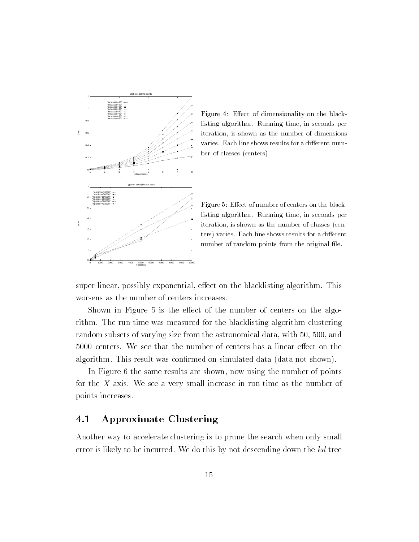

 $\Gamma$  mclasses=80" Figure 4: Eect of dimensionality on the black-black-black-black-black-black-black-black-black-black-black-black-black-black-black-black-black-black-black-black-black-black-black-black-black-black-black-b listing algorithm. Running time, in seconds per iteration, is shown as the number of dimensions varies. Each line shows results for a different number of classes (centers).

> Figure 5: Effect of number of centers on the blacklisting algorithm. Running time, in seconds per iteration, is shown as the number of classes (centers) varies. Each line shows results for a different number of random points from the original file.

super-linear, possibly exponential, effect on the blacklisting algorithm. This worsens as the number of centers increases.

Shown in Figure 5 is the effect of the number of centers on the algorithm. The run-time was measured for the blacklisting algorithm clustering random subsets of varying size from the astronomical data, with 50, 500, and 5000 centers. We see that the number of centers has a linear effect on the algorithm. This result was confirmed on simulated data (data not shown).

In Figure 6 the same results are shown, now using the number of points for the  $X$  axis. We see a very small increase in run-time as the number of points increases.

## 4.1 Approximate Clustering

Another way to accelerate clustering is to prune the search when only small error is likely to be incurred. We do this by not descending down the kd-tree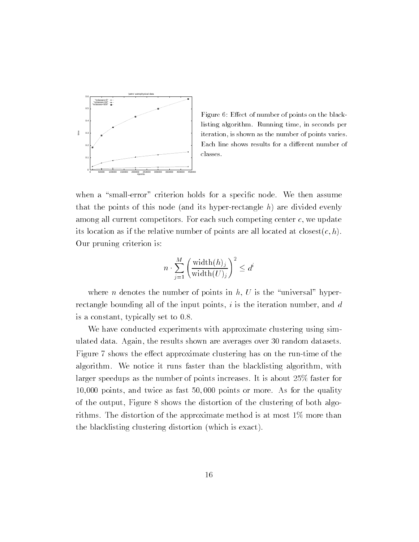

Figure 6: Effect of number of points on the blacklisting algorithm. Running time, in seconds per iteration, is shown as the number of points varies. Each line shows results for a different number of classes.

when a "small-error" criterion holds for a specific node. We then assume that the points of this node (and its hyper-rectangle  $h$ ) are divided evenly among all current competitors. For each such competing center c, we update its location as if the relative number of points are all located at closest $(c, h)$ . Our pruning criterion is:

$$
n \cdot \sum_{j=1}^{M} \left( \frac{\text{width}(h)_j}{\text{width}(U)_j} \right)^2 \le d
$$

where *n* denotes the number of points in  $h$ ,  $U$  is the "universal" hyperrectangle bounding all of the input points,  $i$  is the iteration number, and  $d$ is a constant, typically set to 0.8.

We have conducted experiments with approximate clustering using simulated data. Again, the results shown are averages over 30 random datasets. Figure 7 shows the effect approximate clustering has on the run-time of the algorithm. We notice it runs faster than the blacklisting algorithm, with larger speedups as the number of points increases. It is about 25% faster for 10,000 points, and twice as fast 50; 000 points or more. As for the quality of the output, Figure 8 shows the distortion of the clustering of both algorithms. The distortion of the approximate method is at most 1% more than the blacklisting clustering distortion (which is exact).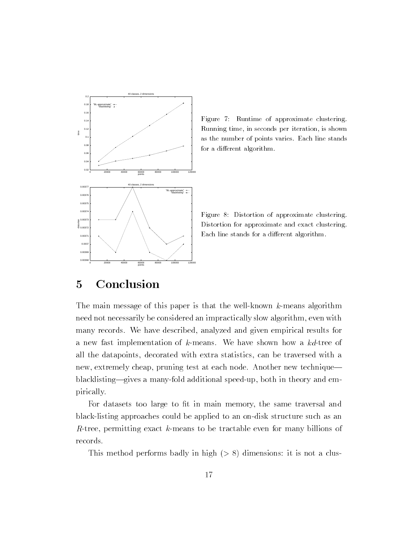

Figure 7: Runtime of approximate clustering. Running time, in seconds per iteration, is shown as the number of points varies. Each line stands for a different algorithm.

Figure 8: Distortion of approximate clustering. Distortion for approximate and exact clustering. Each line stands for a different algorithm.

#### **Conclusion**  $\overline{5}$

The main message of this paper is that the well-known k-means algorithm need not necessarily be considered an impractically slow algorithm, even with many records. We have described, analyzed and given empirical results for a new fast implementation of k-means. We have shown how a kd-tree of all the datapoints, decorated with extra statistics, can be traversed with a new, extremely cheap, pruning test at each node. Another new technique blacklisting-gives a many-fold additional speed-up, both in theory and empirically.

For datasets too large to fit in main memory, the same traversal and black-listing approaches could be applied to an on-disk structure such as an R-tree, permitting exact  $k$ -means to be tractable even for many billions of records.

This method performs badly in high  $(> 8)$  dimensions: it is not a clus-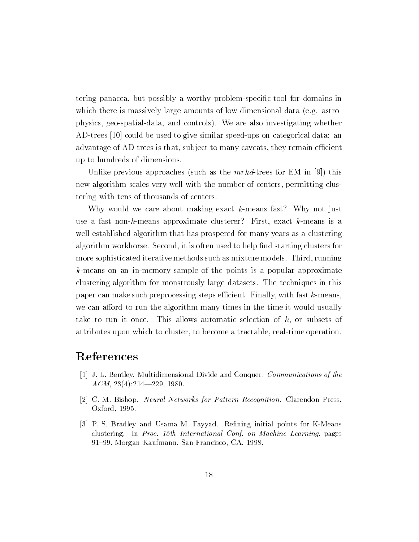tering panacea, but possibly a worthy problem-specic tool for domains in which there is massively large amounts of low-dimensional data (e.g. astrophysics, geo-spatial-data, and controls). We are also investigating whether AD-trees [10] could be used to give similar speed-ups on categorical data: an advantage of AD-trees is that, subject to many caveats, they remain efficient up to hundreds of dimensions.

Unlike previous approaches (such as the  $mrkd$ -trees for EM in [9]) this new algorithm scales very well with the number of centers, permitting clustering with tens of thousands of centers.

Why would we care about making exact  $k$ -means fast? Why not just use a fast non-k-means approximate clusterer? First, exact k-means is a well-established algorithm that has prospered for many years as a clustering algorithm workhorse. Second, it is often used to help find starting clusters for more sophisticated iterative methods such as mixture models. Third, running k-means on an in-memory sample of the points is a popular approximate clustering algorithm for monstrously large datasets. The techniques in this paper can make such preprocessing steps efficient. Finally, with fast k-means, we can afford to run the algorithm many times in the time it would usually take to run it once. This allows automatic selection of  $k$ , or subsets of attributes upon which to cluster, to become a tractable, real-time operation.

## References

- [1] J. L. Bentley. Multidimensional Divide and Conquer. Communications of the  $ACM$ , 23(4):214-229, 1980.
- [2] C. M. Bishop. Neural Networks for Pattern Recognition. Clarendon Press, Oxford, 1995.
- [3] P. S. Bradley and Usama M. Fayyad. Refining initial points for K-Means clustering. In Proc. 15th International Conf. on Machine Learning, pages 91-99. Morgan Kaufmann, San Francisco, CA, 1998.